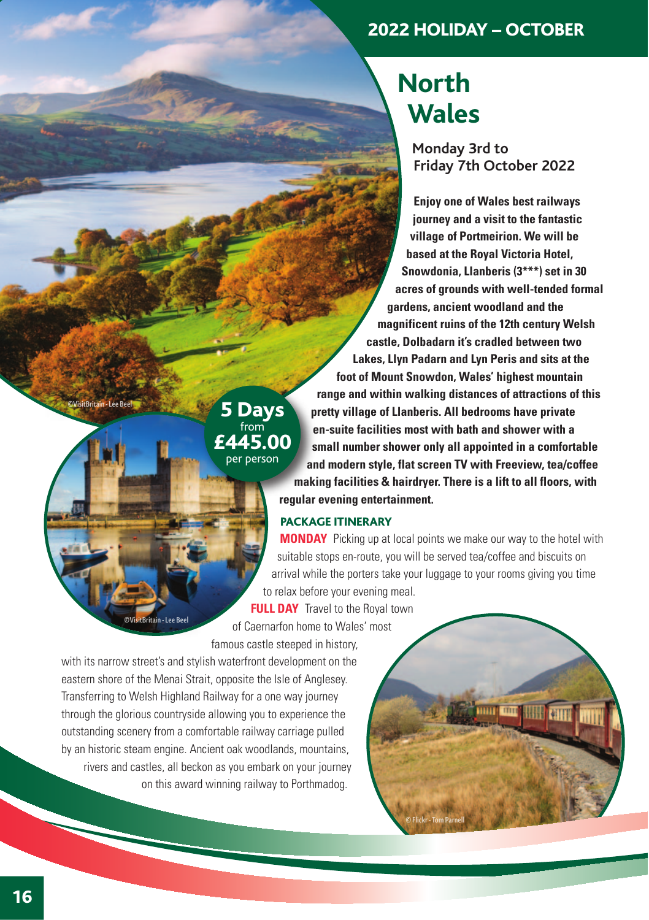### 2022 HOLIDAY – OCTOBER

# **North Wales**

**Monday 3rd to Friday 7th October 2022** 

**Enjoy one of Wales best railways journey and a visit to the fantastic village of Portmeirion. We will be based at the Royal Victoria Hotel, Snowdonia, Llanberis (3\*\*\*) set in 30 acres of grounds with well-tended formal gardens, ancient woodland and the magnificent ruins of the 12th century Welsh castle, Dolbadarn it's cradled between two Lakes, Llyn Padarn and Lyn Peris and sits at the foot of Mount Snowdon, Wales' highest mountain range and within walking distances of attractions of this pretty village of Llanberis. All bedrooms have private en-suite facilities most with bath and shower with a small number shower only all appointed in a comfortable and modern style, flat screen TV with Freeview, tea/coffee making facilities & hairdryer. There is a lift to all floors, with regular evening entertainment.** 

#### PACKAGE ITINERARY

**MONDAY** Picking up at local points we make our way to the hotel with suitable stops en-route, you will be served tea/coffee and biscuits on arrival while the porters take your luggage to your rooms giving you time to relax before your evening meal.

© Flickr - Tom Parnell

mm

**ATTT** 

**FULL DAY** Travel to the Royal town of Caernarfon home to Wales' most famous castle steeped in history,

5 Days  $$ per person

with its narrow street's and stylish waterfront development on the eastern shore of the Menai Strait, opposite the Isle of Anglesey. Transferring to Welsh Highland Railway for a one way journey through the glorious countryside allowing you to experience the outstanding scenery from a comfortable railway carriage pulled by an historic steam engine. Ancient oak woodlands, mountains, rivers and castles, all beckon as you embark on your journey on this award winning railway to Porthmadog.

©VisitBritain - Lee Beel

©VisitBritain - Lee Beel